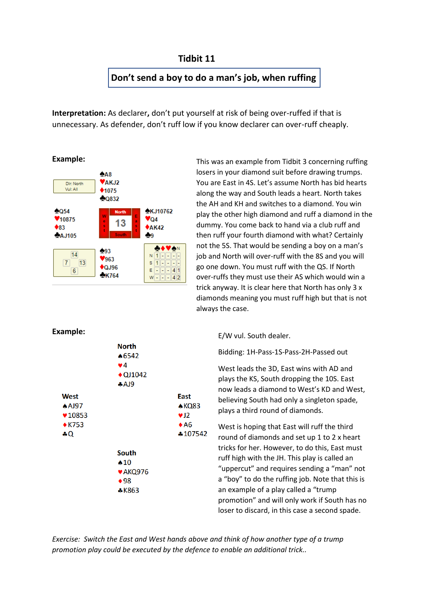# **Tidbit 11**

# **Don't send a boy to do a man's job, when ruffing**

**Interpretation:** As declarer**,** don't put yourself at risk of being over-ruffed if that is unnecessary. As defender, don't ruff low if you know declarer can over-ruff cheaply.

#### **Example:**



This was an example from Tidbit 3 concerning ruffing losers in your diamond suit before drawing trumps. You are East in 4S. Let's assume North has bid hearts along the way and South leads a heart. North takes the AH and KH and switches to a diamond. You win play the other high diamond and ruff a diamond in the dummy. You come back to hand via a club ruff and then ruff your fourth diamond with what? Certainly not the 5S. That would be sending a boy on a man's job and North will over-ruff with the 8S and you will go one down. You must ruff with the QS. If North over-ruffs they must use their AS which would win a trick anyway. It is clear here that North has only 3 x diamonds meaning you must ruff high but that is not always the case.

### **Example:**



E/W vul. South dealer.

Bidding: 1H-Pass-1S-Pass-2H-Passed out

West leads the 3D, East wins with AD and plays the KS, South dropping the 10S. East now leads a diamond to West's KD and West, believing South had only a singleton spade, plays a third round of diamonds.

West is hoping that East will ruff the third round of diamonds and set up 1 to 2 x heart tricks for her. However, to do this, East must ruff high with the JH. This play is called an "uppercut" and requires sending a "man" not a "boy" to do the ruffing job. Note that this is an example of a play called a "trump promotion" and will only work if South has no loser to discard, in this case a second spade.

*Exercise: Switch the East and West hands above and think of how another type of a trump promotion play could be executed by the defence to enable an additional trick..*